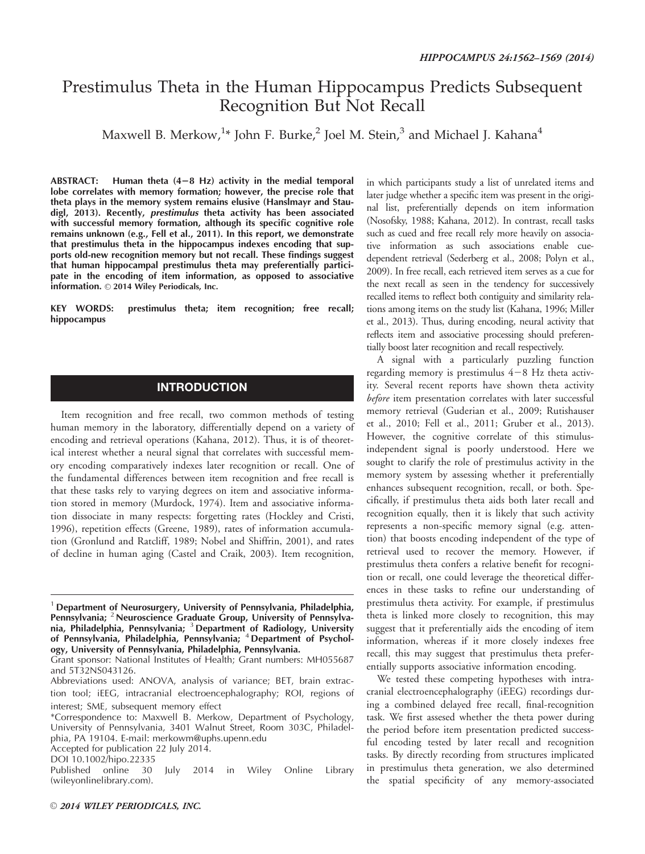# Prestimulus Theta in the Human Hippocampus Predicts Subsequent Recognition But Not Recall

Maxwell B. Merkow, $1*$  John F. Burke, $^2$  Joel M. Stein, $^3$  and Michael J. Kahana $^4$ 

ABSTRACT: Human theta  $(4-8$  Hz) activity in the medial temporal lobe correlates with memory formation; however, the precise role that theta plays in the memory system remains elusive (Hanslmayr and Staudigl, 2013). Recently, prestimulus theta activity has been associated with successful memory formation, although its specific cognitive role remains unknown (e.g., Fell et al., 2011). In this report, we demonstrate that prestimulus theta in the hippocampus indexes encoding that supports old-new recognition memory but not recall. These findings suggest that human hippocampal prestimulus theta may preferentially participate in the encoding of item information, as opposed to associative information. © 2014 Wiley Periodicals, Inc.

KEY WORDS: prestimulus theta; item recognition; free recall; hippocampus

# **INTRODUCTION**

Item recognition and free recall, two common methods of testing human memory in the laboratory, differentially depend on a variety of encoding and retrieval operations (Kahana, 2012). Thus, it is of theoretical interest whether a neural signal that correlates with successful memory encoding comparatively indexes later recognition or recall. One of the fundamental differences between item recognition and free recall is that these tasks rely to varying degrees on item and associative information stored in memory (Murdock, 1974). Item and associative information dissociate in many respects: forgetting rates (Hockley and Cristi, 1996), repetition effects (Greene, 1989), rates of information accumulation (Gronlund and Ratcliff, 1989; Nobel and Shiffrin, 2001), and rates of decline in human aging (Castel and Craik, 2003). Item recognition,

in which participants study a list of unrelated items and later judge whether a specific item was present in the original list, preferentially depends on item information (Nosofsky, 1988; Kahana, 2012). In contrast, recall tasks such as cued and free recall rely more heavily on associative information as such associations enable cuedependent retrieval (Sederberg et al., 2008; Polyn et al., 2009). In free recall, each retrieved item serves as a cue for the next recall as seen in the tendency for successively recalled items to reflect both contiguity and similarity relations among items on the study list (Kahana, 1996; Miller et al., 2013). Thus, during encoding, neural activity that reflects item and associative processing should preferentially boost later recognition and recall respectively.

A signal with a particularly puzzling function regarding memory is prestimulus  $4-8$  Hz theta activity. Several recent reports have shown theta activity before item presentation correlates with later successful memory retrieval (Guderian et al., 2009; Rutishauser et al., 2010; Fell et al., 2011; Gruber et al., 2013). However, the cognitive correlate of this stimulusindependent signal is poorly understood. Here we sought to clarify the role of prestimulus activity in the memory system by assessing whether it preferentially enhances subsequent recognition, recall, or both. Specifically, if prestimulus theta aids both later recall and recognition equally, then it is likely that such activity represents a non-specific memory signal (e.g. attention) that boosts encoding independent of the type of retrieval used to recover the memory. However, if prestimulus theta confers a relative benefit for recognition or recall, one could leverage the theoretical differences in these tasks to refine our understanding of prestimulus theta activity. For example, if prestimulus theta is linked more closely to recognition, this may suggest that it preferentially aids the encoding of item information, whereas if it more closely indexes free recall, this may suggest that prestimulus theta preferentially supports associative information encoding.

We tested these competing hypotheses with intracranial electroencephalography (iEEG) recordings during a combined delayed free recall, final-recognition task. We first assesed whether the theta power during the period before item presentation predicted successful encoding tested by later recall and recognition tasks. By directly recording from structures implicated in prestimulus theta generation, we also determined the spatial specificity of any memory-associated

<sup>&</sup>lt;sup>1</sup> Department of Neurosurgery, University of Pennsylvania, Philadelphia, Pennsylvania; <sup>2</sup> Neuroscience Graduate Group, University of Pennsylvania, Philadelphia, Pennsylvania;  $3$  Department of Radiology, University of Pennsylvania, Philadelphia, Pennsylvania; <sup>4</sup> Department of Psychology, University of Pennsylvania, Philadelphia, Pennsylvania.

Grant sponsor: National Institutes of Health; Grant numbers: MH055687 and 5T32NS043126.

Abbreviations used: ANOVA, analysis of variance; BET, brain extraction tool; iEEG, intracranial electroencephalography; ROI, regions of interest; SME, subsequent memory effect

<sup>\*</sup>Correspondence to: Maxwell B. Merkow, Department of Psychology, University of Pennsylvania, 3401 Walnut Street, Room 303C, Philadelphia, PA 19104. E-mail: merkowm@uphs.upenn.edu

Accepted for publication 22 July 2014.

DOI 10.1002/hipo.22335

Published online 30 July 2014 in Wiley Online Library (wileyonlinelibrary.com).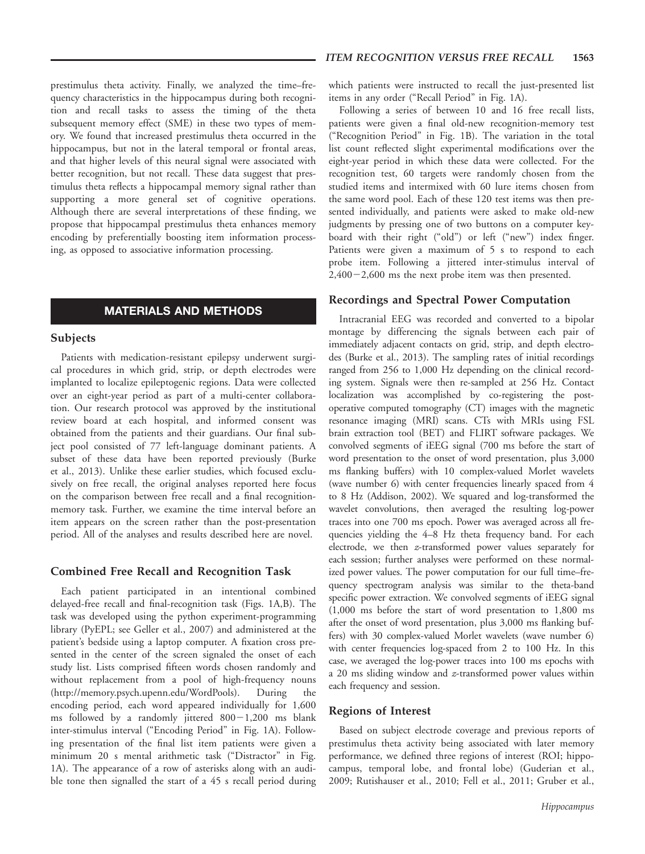prestimulus theta activity. Finally, we analyzed the time–frequency characteristics in the hippocampus during both recognition and recall tasks to assess the timing of the theta subsequent memory effect (SME) in these two types of memory. We found that increased prestimulus theta occurred in the hippocampus, but not in the lateral temporal or frontal areas, and that higher levels of this neural signal were associated with better recognition, but not recall. These data suggest that prestimulus theta reflects a hippocampal memory signal rather than supporting a more general set of cognitive operations. Although there are several interpretations of these finding, we propose that hippocampal prestimulus theta enhances memory encoding by preferentially boosting item information processing, as opposed to associative information processing.

#### MATERIALS AND METHODS

#### Subjects

Patients with medication-resistant epilepsy underwent surgical procedures in which grid, strip, or depth electrodes were implanted to localize epileptogenic regions. Data were collected over an eight-year period as part of a multi-center collaboration. Our research protocol was approved by the institutional review board at each hospital, and informed consent was obtained from the patients and their guardians. Our final subject pool consisted of 77 left-language dominant patients. A subset of these data have been reported previously (Burke et al., 2013). Unlike these earlier studies, which focused exclusively on free recall, the original analyses reported here focus on the comparison between free recall and a final recognitionmemory task. Further, we examine the time interval before an item appears on the screen rather than the post-presentation period. All of the analyses and results described here are novel.

#### Combined Free Recall and Recognition Task

Each patient participated in an intentional combined delayed-free recall and final-recognition task (Figs. 1A,B). The task was developed using the python experiment-programming library (PyEPL; see Geller et al., 2007) and administered at the patient's bedside using a laptop computer. A fixation cross presented in the center of the screen signaled the onset of each study list. Lists comprised fifteen words chosen randomly and without replacement from a pool of high-frequency nouns [\(http://memory.psych.upenn.edu/WordPools\)](http://memory.psych.upenn.edu/WordPools). During the encoding period, each word appeared individually for 1,600 ms followed by a randomly jittered  $800-1,200$  ms blank inter-stimulus interval ("Encoding Period" in Fig. 1A). Following presentation of the final list item patients were given a minimum 20 s mental arithmetic task ("Distractor" in Fig. 1A). The appearance of a row of asterisks along with an audible tone then signalled the start of a 45 s recall period during

which patients were instructed to recall the just-presented list items in any order ("Recall Period" in Fig. 1A).

Following a series of between 10 and 16 free recall lists, patients were given a final old-new recognition-memory test ("Recognition Period" in Fig. 1B). The variation in the total list count reflected slight experimental modifications over the eight-year period in which these data were collected. For the recognition test, 60 targets were randomly chosen from the studied items and intermixed with 60 lure items chosen from the same word pool. Each of these 120 test items was then presented individually, and patients were asked to make old-new judgments by pressing one of two buttons on a computer keyboard with their right ("old") or left ("new") index finger. Patients were given a maximum of 5 s to respond to each probe item. Following a jittered inter-stimulus interval of  $2,400-2,600$  ms the next probe item was then presented.

#### Recordings and Spectral Power Computation

Intracranial EEG was recorded and converted to a bipolar montage by differencing the signals between each pair of immediately adjacent contacts on grid, strip, and depth electrodes (Burke et al., 2013). The sampling rates of initial recordings ranged from 256 to 1,000 Hz depending on the clinical recording system. Signals were then re-sampled at 256 Hz. Contact localization was accomplished by co-registering the postoperative computed tomography (CT) images with the magnetic resonance imaging (MRI) scans. CTs with MRIs using FSL brain extraction tool (BET) and FLIRT software packages. We convolved segments of iEEG signal (700 ms before the start of word presentation to the onset of word presentation, plus 3,000 ms flanking buffers) with 10 complex-valued Morlet wavelets (wave number 6) with center frequencies linearly spaced from 4 to 8 Hz (Addison, 2002). We squared and log-transformed the wavelet convolutions, then averaged the resulting log-power traces into one 700 ms epoch. Power was averaged across all frequencies yielding the 4–8 Hz theta frequency band. For each electrode, we then z-transformed power values separately for each session; further analyses were performed on these normalized power values. The power computation for our full time–frequency spectrogram analysis was similar to the theta-band specific power extraction. We convolved segments of iEEG signal (1,000 ms before the start of word presentation to 1,800 ms after the onset of word presentation, plus 3,000 ms flanking buffers) with 30 complex-valued Morlet wavelets (wave number 6) with center frequencies log-spaced from 2 to 100 Hz. In this case, we averaged the log-power traces into 100 ms epochs with a 20 ms sliding window and z-transformed power values within each frequency and session.

#### Regions of Interest

Based on subject electrode coverage and previous reports of prestimulus theta activity being associated with later memory performance, we defined three regions of interest (ROI; hippocampus, temporal lobe, and frontal lobe) (Guderian et al., 2009; Rutishauser et al., 2010; Fell et al., 2011; Gruber et al.,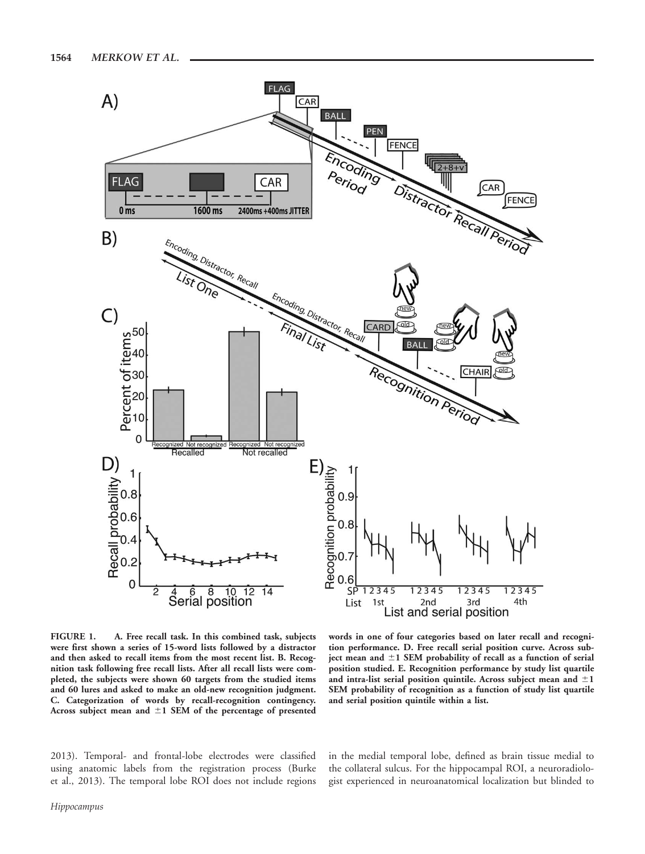

FIGURE 1. A. Free recall task. In this combined task, subjects were first shown a series of 15-word lists followed by a distractor and then asked to recall items from the most recent list. B. Recognition task following free recall lists. After all recall lists were completed, the subjects were shown 60 targets from the studied items and 60 lures and asked to make an old-new recognition judgment. C. Categorization of words by recall-recognition contingency. Across subject mean and  $\pm 1$  SEM of the percentage of presented

words in one of four categories based on later recall and recognition performance. D. Free recall serial position curve. Across subject mean and  $\pm 1$  SEM probability of recall as a function of serial position studied. E. Recognition performance by study list quartile and intra-list serial position quintile. Across subject mean and  $\pm 1$ SEM probability of recognition as a function of study list quartile and serial position quintile within a list.

2013). Temporal- and frontal-lobe electrodes were classified using anatomic labels from the registration process (Burke et al., 2013). The temporal lobe ROI does not include regions in the medial temporal lobe, defined as brain tissue medial to the collateral sulcus. For the hippocampal ROI, a neuroradiologist experienced in neuroanatomical localization but blinded to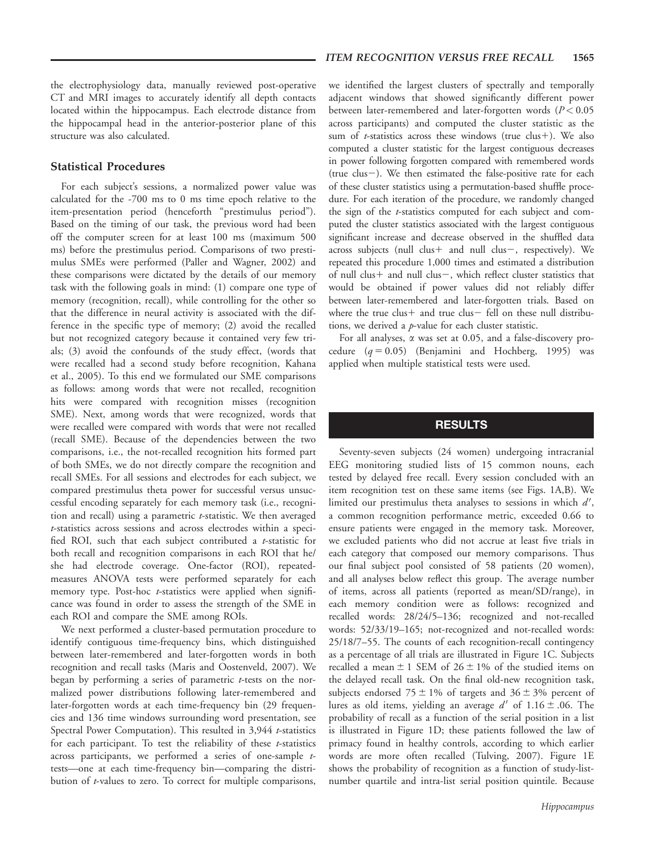the electrophysiology data, manually reviewed post-operative CT and MRI images to accurately identify all depth contacts located within the hippocampus. Each electrode distance from the hippocampal head in the anterior-posterior plane of this structure was also calculated.

#### Statistical Procedures

For each subject's sessions, a normalized power value was calculated for the -700 ms to 0 ms time epoch relative to the item-presentation period (henceforth "prestimulus period"). Based on the timing of our task, the previous word had been off the computer screen for at least 100 ms (maximum 500 ms) before the prestimulus period. Comparisons of two prestimulus SMEs were performed (Paller and Wagner, 2002) and these comparisons were dictated by the details of our memory task with the following goals in mind: (1) compare one type of memory (recognition, recall), while controlling for the other so that the difference in neural activity is associated with the difference in the specific type of memory; (2) avoid the recalled but not recognized category because it contained very few trials; (3) avoid the confounds of the study effect, (words that were recalled had a second study before recognition, Kahana et al., 2005). To this end we formulated our SME comparisons as follows: among words that were not recalled, recognition hits were compared with recognition misses (recognition SME). Next, among words that were recognized, words that were recalled were compared with words that were not recalled (recall SME). Because of the dependencies between the two comparisons, i.e., the not-recalled recognition hits formed part of both SMEs, we do not directly compare the recognition and recall SMEs. For all sessions and electrodes for each subject, we compared prestimulus theta power for successful versus unsuccessful encoding separately for each memory task (i.e., recognition and recall) using a parametric  $t$ -statistic. We then averaged t-statistics across sessions and across electrodes within a specified ROI, such that each subject contributed a t-statistic for both recall and recognition comparisons in each ROI that he/ she had electrode coverage. One-factor (ROI), repeatedmeasures ANOVA tests were performed separately for each memory type. Post-hoc *t*-statistics were applied when significance was found in order to assess the strength of the SME in each ROI and compare the SME among ROIs.

We next performed a cluster-based permutation procedure to identify contiguous time-frequency bins, which distinguished between later-remembered and later-forgotten words in both recognition and recall tasks (Maris and Oostenveld, 2007). We began by performing a series of parametric  $t$ -tests on the normalized power distributions following later-remembered and later-forgotten words at each time-frequency bin (29 frequencies and 136 time windows surrounding word presentation, see Spectral Power Computation). This resulted in 3,944 *t*-statistics for each participant. To test the reliability of these  $t$ -statistics across participants, we performed a series of one-sample ttests—one at each time-frequency bin—comparing the distribution of *t*-values to zero. To correct for multiple comparisons,

we identified the largest clusters of spectrally and temporally adjacent windows that showed significantly different power between later-remembered and later-forgotten words ( $P < 0.05$ ) across participants) and computed the cluster statistic as the sum of  $t$ -statistics across these windows (true clus+). We also computed a cluster statistic for the largest contiguous decreases in power following forgotten compared with remembered words ( $true$   $clus$ ). We then estimated the false-positive rate for each of these cluster statistics using a permutation-based shuffle procedure. For each iteration of the procedure, we randomly changed the sign of the *t*-statistics computed for each subject and computed the cluster statistics associated with the largest contiguous significant increase and decrease observed in the shuffled data across subjects (null clus+ and null clus-, respectively). We repeated this procedure 1,000 times and estimated a distribution of null clus+ and null clus-, which reflect cluster statistics that would be obtained if power values did not reliably differ between later-remembered and later-forgotten trials. Based on where the true clus+ and true clus- fell on these null distributions, we derived a p-value for each cluster statistic.

For all analyses,  $\alpha$  was set at 0.05, and a false-discovery procedure  $(q = 0.05)$  (Benjamini and Hochberg, 1995) was applied when multiple statistical tests were used.

## RESULTS

Seventy-seven subjects (24 women) undergoing intracranial EEG monitoring studied lists of 15 common nouns, each tested by delayed free recall. Every session concluded with an item recognition test on these same items (see Figs. 1A,B). We limited our prestimulus theta analyses to sessions in which  $d'$ , a common recognition performance metric, exceeded 0.66 to ensure patients were engaged in the memory task. Moreover, we excluded patients who did not accrue at least five trials in each category that composed our memory comparisons. Thus our final subject pool consisted of 58 patients (20 women), and all analyses below reflect this group. The average number of items, across all patients (reported as mean/SD/range), in each memory condition were as follows: recognized and recalled words: 28/24/5–136; recognized and not-recalled words: 52/33/19–165; not-recognized and not-recalled words: 25/18/7–55. The counts of each recognition-recall contingency as a percentage of all trials are illustrated in Figure 1C. Subjects recalled a mean  $\pm$  1 SEM of 26  $\pm$  1% of the studied items on the delayed recall task. On the final old-new recognition task, subjects endorsed 75  $\pm$  1% of targets and 36  $\pm$  3% percent of lures as old items, yielding an average  $d'$  of  $1.16 \pm .06$ . The probability of recall as a function of the serial position in a list is illustrated in Figure 1D; these patients followed the law of primacy found in healthy controls, according to which earlier words are more often recalled (Tulving, 2007). Figure 1E shows the probability of recognition as a function of study-listnumber quartile and intra-list serial position quintile. Because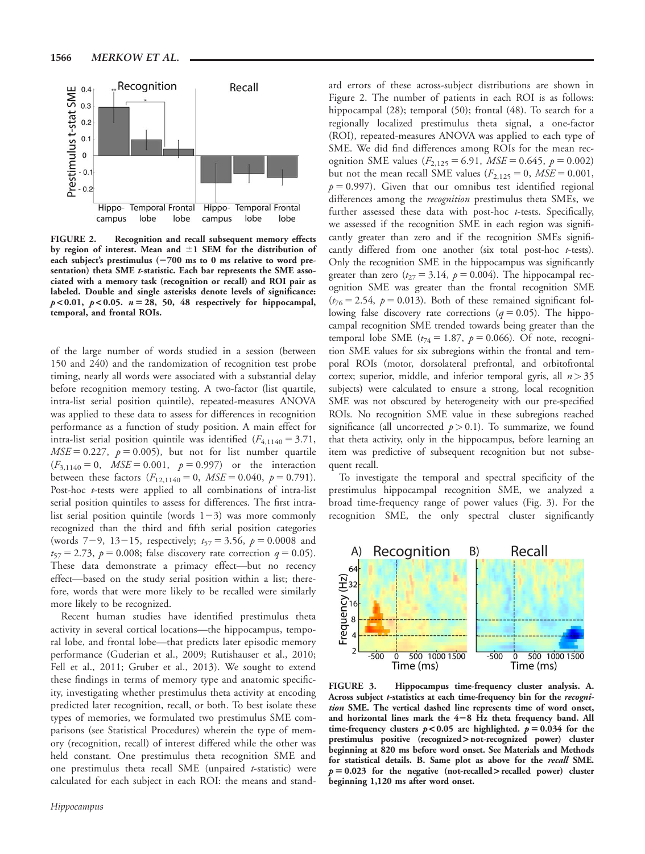

FIGURE 2. Recognition and recall subsequent memory effects by region of interest. Mean and  $\pm 1$  SEM for the distribution of each subject's prestimulus  $(-700 \text{ ms to } 0 \text{ ms relative to word pre-}$ sentation) theta SME t-statistic. Each bar represents the SME associated with a memory task (recognition or recall) and ROI pair as labeled. Double and single asterisks denote levels of significance:  $p < 0.01$ ,  $p < 0.05$ .  $n = 28$ , 50, 48 respectively for hippocampal, temporal, and frontal ROIs.

of the large number of words studied in a session (between 150 and 240) and the randomization of recognition test probe timing, nearly all words were associated with a substantial delay before recognition memory testing. A two-factor (list quartile, intra-list serial position quintile), repeated-measures ANOVA was applied to these data to assess for differences in recognition performance as a function of study position. A main effect for intra-list serial position quintile was identified  $(F_{4,1140} = 3.71,$  $MSE = 0.227$ ,  $p = 0.005$ ), but not for list number quartile  $(F_{3,1140} = 0, \quad MSE = 0.001, \quad p = 0.997)$  or the interaction between these factors  $(F_{12,1140} = 0, \text{ MSE} = 0.040, \text{ p} = 0.791).$ Post-hoc *t*-tests were applied to all combinations of intra-list serial position quintiles to assess for differences. The first intralist serial position quintile (words  $1-3$ ) was more commonly recognized than the third and fifth serial position categories (words 7-9, 13-15, respectively;  $t_{57} = 3.56$ ,  $p = 0.0008$  and  $t_{57} = 2.73$ ,  $p = 0.008$ ; false discovery rate correction  $q = 0.05$ ). These data demonstrate a primacy effect—but no recency effect—based on the study serial position within a list; therefore, words that were more likely to be recalled were similarly more likely to be recognized.

Recent human studies have identified prestimulus theta activity in several cortical locations—the hippocampus, temporal lobe, and frontal lobe—that predicts later episodic memory performance (Guderian et al., 2009; Rutishauser et al., 2010; Fell et al., 2011; Gruber et al., 2013). We sought to extend these findings in terms of memory type and anatomic specificity, investigating whether prestimulus theta activity at encoding predicted later recognition, recall, or both. To best isolate these types of memories, we formulated two prestimulus SME comparisons (see Statistical Procedures) wherein the type of memory (recognition, recall) of interest differed while the other was held constant. One prestimulus theta recognition SME and one prestimulus theta recall SME (unpaired t-statistic) were calculated for each subject in each ROI: the means and stand-

ard errors of these across-subject distributions are shown in Figure 2. The number of patients in each ROI is as follows: hippocampal (28); temporal (50); frontal (48). To search for a regionally localized prestimulus theta signal, a one-factor (ROI), repeated-measures ANOVA was applied to each type of SME. We did find differences among ROIs for the mean recognition SME values  $(F_{2,125} = 6.91, MSE = 0.645, p = 0.002)$ but not the mean recall SME values ( $F_{2,125} = 0$ ,  $MSE = 0.001$ ,  $p = 0.997$ ). Given that our omnibus test identified regional differences among the recognition prestimulus theta SMEs, we further assessed these data with post-hoc t-tests. Specifically, we assessed if the recognition SME in each region was significantly greater than zero and if the recognition SMEs significantly differed from one another (six total post-hoc  $t$ -tests). Only the recognition SME in the hippocampus was significantly greater than zero ( $t_{27} = 3.14$ ,  $p = 0.004$ ). The hippocampal recognition SME was greater than the frontal recognition SME  $(t_{76} = 2.54, p = 0.013)$ . Both of these remained significant following false discovery rate corrections ( $q = 0.05$ ). The hippocampal recognition SME trended towards being greater than the temporal lobe SME ( $t_{74} = 1.87$ ,  $p = 0.066$ ). Of note, recognition SME values for six subregions within the frontal and temporal ROIs (motor, dorsolateral prefrontal, and orbitofrontal cortex; superior, middle, and inferior temporal gyris, all  $n > 35$ subjects) were calculated to ensure a strong, local recognition SME was not obscured by heterogeneity with our pre-specified ROIs. No recognition SME value in these subregions reached significance (all uncorrected  $p > 0.1$ ). To summarize, we found that theta activity, only in the hippocampus, before learning an item was predictive of subsequent recognition but not subsequent recall.

To investigate the temporal and spectral specificity of the prestimulus hippocampal recognition SME, we analyzed a broad time-frequency range of power values (Fig. 3). For the recognition SME, the only spectral cluster significantly



FIGURE 3. Hippocampus time-frequency cluster analysis. A. Across subject *t*-statistics at each time-frequency bin for the recognition SME. The vertical dashed line represents time of word onset, and horizontal lines mark the  $4-8$  Hz theta frequency band. All time-frequency clusters  $p < 0.05$  are highlighted.  $p = 0.034$  for the prestimulus positive (recognized > not-recognized power) cluster beginning at 820 ms before word onset. See Materials and Methods for statistical details. B. Same plot as above for the recall SME.  $p = 0.023$  for the negative (not-recalled > recalled power) cluster beginning 1,120 ms after word onset.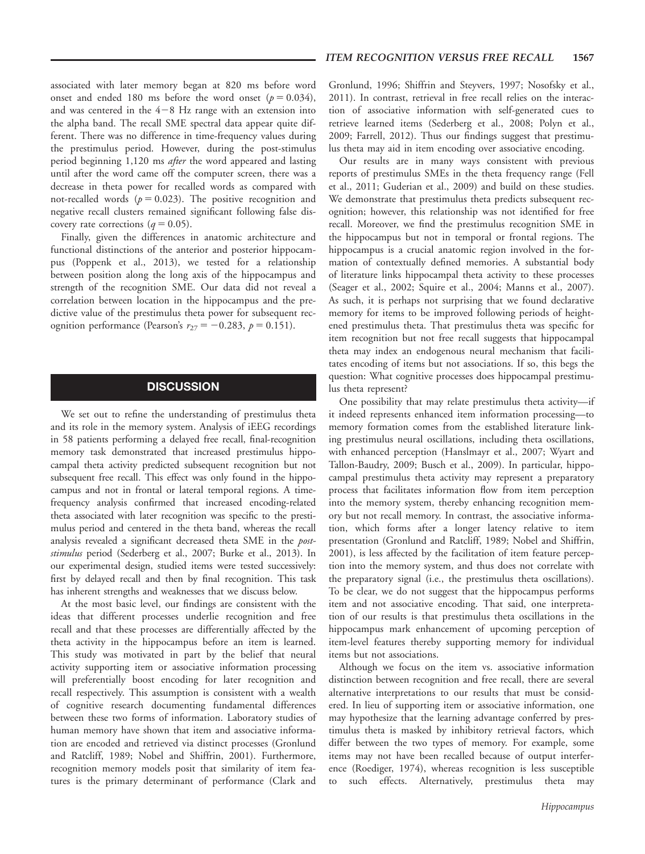associated with later memory began at 820 ms before word onset and ended 180 ms before the word onset  $(p = 0.034)$ , and was centered in the  $4-8$  Hz range with an extension into the alpha band. The recall SME spectral data appear quite different. There was no difference in time-frequency values during the prestimulus period. However, during the post-stimulus period beginning 1,120 ms *after* the word appeared and lasting until after the word came off the computer screen, there was a decrease in theta power for recalled words as compared with not-recalled words ( $p = 0.023$ ). The positive recognition and negative recall clusters remained significant following false discovery rate corrections ( $q = 0.05$ ).

Finally, given the differences in anatomic architecture and functional distinctions of the anterior and posterior hippocampus (Poppenk et al., 2013), we tested for a relationship between position along the long axis of the hippocampus and strength of the recognition SME. Our data did not reveal a correlation between location in the hippocampus and the predictive value of the prestimulus theta power for subsequent recognition performance (Pearson's  $r_{27} = -0.283$ ,  $p = 0.151$ ).

# **DISCUSSION**

We set out to refine the understanding of prestimulus theta and its role in the memory system. Analysis of iEEG recordings in 58 patients performing a delayed free recall, final-recognition memory task demonstrated that increased prestimulus hippocampal theta activity predicted subsequent recognition but not subsequent free recall. This effect was only found in the hippocampus and not in frontal or lateral temporal regions. A timefrequency analysis confirmed that increased encoding-related theta associated with later recognition was specific to the prestimulus period and centered in the theta band, whereas the recall analysis revealed a significant decreased theta SME in the poststimulus period (Sederberg et al., 2007; Burke et al., 2013). In our experimental design, studied items were tested successively: first by delayed recall and then by final recognition. This task has inherent strengths and weaknesses that we discuss below.

At the most basic level, our findings are consistent with the ideas that different processes underlie recognition and free recall and that these processes are differentially affected by the theta activity in the hippocampus before an item is learned. This study was motivated in part by the belief that neural activity supporting item or associative information processing will preferentially boost encoding for later recognition and recall respectively. This assumption is consistent with a wealth of cognitive research documenting fundamental differences between these two forms of information. Laboratory studies of human memory have shown that item and associative information are encoded and retrieved via distinct processes (Gronlund and Ratcliff, 1989; Nobel and Shiffrin, 2001). Furthermore, recognition memory models posit that similarity of item features is the primary determinant of performance (Clark and

Gronlund, 1996; Shiffrin and Steyvers, 1997; Nosofsky et al., 2011). In contrast, retrieval in free recall relies on the interaction of associative information with self-generated cues to retrieve learned items (Sederberg et al., 2008; Polyn et al., 2009; Farrell, 2012). Thus our findings suggest that prestimulus theta may aid in item encoding over associative encoding.

Our results are in many ways consistent with previous reports of prestimulus SMEs in the theta frequency range (Fell et al., 2011; Guderian et al., 2009) and build on these studies. We demonstrate that prestimulus theta predicts subsequent recognition; however, this relationship was not identified for free recall. Moreover, we find the prestimulus recognition SME in the hippocampus but not in temporal or frontal regions. The hippocampus is a crucial anatomic region involved in the formation of contextually defined memories. A substantial body of literature links hippocampal theta activity to these processes (Seager et al., 2002; Squire et al., 2004; Manns et al., 2007). As such, it is perhaps not surprising that we found declarative memory for items to be improved following periods of heightened prestimulus theta. That prestimulus theta was specific for item recognition but not free recall suggests that hippocampal theta may index an endogenous neural mechanism that facilitates encoding of items but not associations. If so, this begs the question: What cognitive processes does hippocampal prestimulus theta represent?

One possibility that may relate prestimulus theta activity—if it indeed represents enhanced item information processing—to memory formation comes from the established literature linking prestimulus neural oscillations, including theta oscillations, with enhanced perception (Hanslmayr et al., 2007; Wyart and Tallon-Baudry, 2009; Busch et al., 2009). In particular, hippocampal prestimulus theta activity may represent a preparatory process that facilitates information flow from item perception into the memory system, thereby enhancing recognition memory but not recall memory. In contrast, the associative information, which forms after a longer latency relative to item presentation (Gronlund and Ratcliff, 1989; Nobel and Shiffrin, 2001), is less affected by the facilitation of item feature perception into the memory system, and thus does not correlate with the preparatory signal (i.e., the prestimulus theta oscillations). To be clear, we do not suggest that the hippocampus performs item and not associative encoding. That said, one interpretation of our results is that prestimulus theta oscillations in the hippocampus mark enhancement of upcoming perception of item-level features thereby supporting memory for individual items but not associations.

Although we focus on the item vs. associative information distinction between recognition and free recall, there are several alternative interpretations to our results that must be considered. In lieu of supporting item or associative information, one may hypothesize that the learning advantage conferred by prestimulus theta is masked by inhibitory retrieval factors, which differ between the two types of memory. For example, some items may not have been recalled because of output interference (Roediger, 1974), whereas recognition is less susceptible to such effects. Alternatively, prestimulus theta may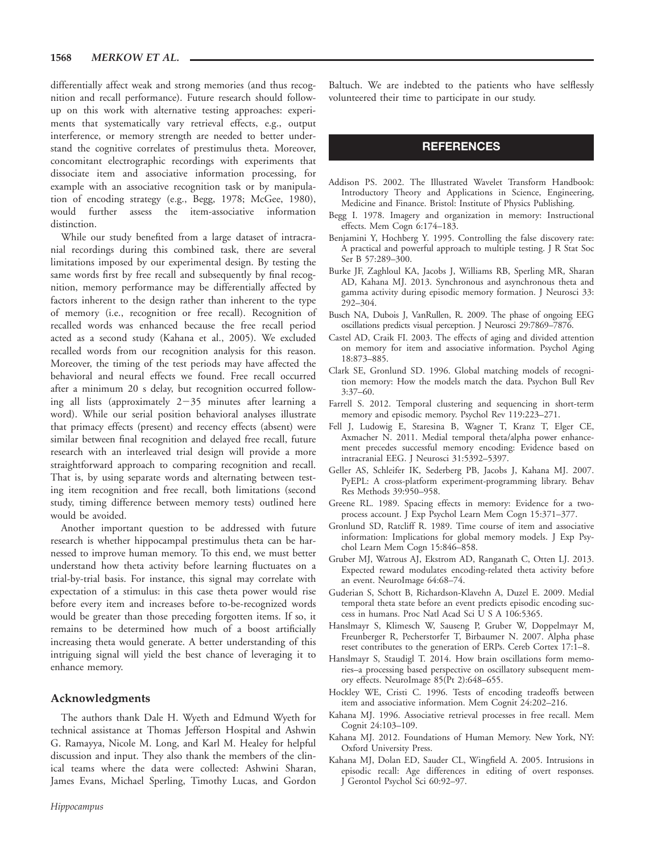differentially affect weak and strong memories (and thus recognition and recall performance). Future research should followup on this work with alternative testing approaches: experiments that systematically vary retrieval effects, e.g., output interference, or memory strength are needed to better understand the cognitive correlates of prestimulus theta. Moreover, concomitant electrographic recordings with experiments that dissociate item and associative information processing, for example with an associative recognition task or by manipulation of encoding strategy (e.g., Begg, 1978; McGee, 1980), would further assess the item-associative information distinction.

While our study benefited from a large dataset of intracranial recordings during this combined task, there are several limitations imposed by our experimental design. By testing the same words first by free recall and subsequently by final recognition, memory performance may be differentially affected by factors inherent to the design rather than inherent to the type of memory (i.e., recognition or free recall). Recognition of recalled words was enhanced because the free recall period acted as a second study (Kahana et al., 2005). We excluded recalled words from our recognition analysis for this reason. Moreover, the timing of the test periods may have affected the behavioral and neural effects we found. Free recall occurred after a minimum 20 s delay, but recognition occurred following all lists (approximately  $2-35$  minutes after learning a word). While our serial position behavioral analyses illustrate that primacy effects (present) and recency effects (absent) were similar between final recognition and delayed free recall, future research with an interleaved trial design will provide a more straightforward approach to comparing recognition and recall. That is, by using separate words and alternating between testing item recognition and free recall, both limitations (second study, timing difference between memory tests) outlined here would be avoided.

Another important question to be addressed with future research is whether hippocampal prestimulus theta can be harnessed to improve human memory. To this end, we must better understand how theta activity before learning fluctuates on a trial-by-trial basis. For instance, this signal may correlate with expectation of a stimulus: in this case theta power would rise before every item and increases before to-be-recognized words would be greater than those preceding forgotten items. If so, it remains to be determined how much of a boost artificially increasing theta would generate. A better understanding of this intriguing signal will yield the best chance of leveraging it to enhance memory.

#### Acknowledgments

The authors thank Dale H. Wyeth and Edmund Wyeth for technical assistance at Thomas Jefferson Hospital and Ashwin G. Ramayya, Nicole M. Long, and Karl M. Healey for helpful discussion and input. They also thank the members of the clinical teams where the data were collected: Ashwini Sharan, James Evans, Michael Sperling, Timothy Lucas, and Gordon Baltuch. We are indebted to the patients who have selflessly volunteered their time to participate in our study.

# **REFERENCES**

- Addison PS. 2002. The Illustrated Wavelet Transform Handbook: Introductory Theory and Applications in Science, Engineering, Medicine and Finance. Bristol: Institute of Physics Publishing.
- Begg I. 1978. Imagery and organization in memory: Instructional effects. Mem Cogn 6:174–183.
- Benjamini Y, Hochberg Y. 1995. Controlling the false discovery rate: A practical and powerful approach to multiple testing. J R Stat Soc Ser B 57:289–300.
- Burke JF, Zaghloul KA, Jacobs J, Williams RB, Sperling MR, Sharan AD, Kahana MJ. 2013. Synchronous and asynchronous theta and gamma activity during episodic memory formation. J Neurosci 33: 292–304.
- Busch NA, Dubois J, VanRullen, R. 2009. The phase of ongoing EEG oscillations predicts visual perception. J Neurosci 29:7869–7876.
- Castel AD, Craik FI. 2003. The effects of aging and divided attention on memory for item and associative information. Psychol Aging 18:873–885.
- Clark SE, Gronlund SD. 1996. Global matching models of recognition memory: How the models match the data. Psychon Bull Rev 3:37–60.
- Farrell S. 2012. Temporal clustering and sequencing in short-term memory and episodic memory. Psychol Rev 119:223–271.
- Fell J, Ludowig E, Staresina B, Wagner T, Kranz T, Elger CE, Axmacher N. 2011. Medial temporal theta/alpha power enhancement precedes successful memory encoding: Evidence based on intracranial EEG. J Neurosci 31:5392–5397.
- Geller AS, Schleifer IK, Sederberg PB, Jacobs J, Kahana MJ. 2007. PyEPL: A cross-platform experiment-programming library. Behav Res Methods 39:950–958.
- Greene RL. 1989. Spacing effects in memory: Evidence for a twoprocess account. J Exp Psychol Learn Mem Cogn 15:371–377.
- Gronlund SD, Ratcliff R. 1989. Time course of item and associative information: Implications for global memory models. J Exp Psychol Learn Mem Cogn 15:846–858.
- Gruber MJ, Watrous AJ, Ekstrom AD, Ranganath C, Otten LJ. 2013. Expected reward modulates encoding-related theta activity before an event. NeuroImage 64:68–74.
- Guderian S, Schott B, Richardson-Klavehn A, Duzel E. 2009. Medial temporal theta state before an event predicts episodic encoding success in humans. Proc Natl Acad Sci U S A 106:5365.
- Hanslmayr S, Klimesch W, Sauseng P, Gruber W, Doppelmayr M, Freunberger R, Pecherstorfer T, Birbaumer N. 2007. Alpha phase reset contributes to the generation of ERPs. Cereb Cortex 17:1–8.
- Hanslmayr S, Staudigl T. 2014. How brain oscillations form memories–a processing based perspective on oscillatory subsequent memory effects. NeuroImage 85(Pt 2):648–655.
- Hockley WE, Cristi C. 1996. Tests of encoding tradeoffs between item and associative information. Mem Cognit 24:202–216.
- Kahana MJ. 1996. Associative retrieval processes in free recall. Mem Cognit 24:103–109.
- Kahana MJ. 2012. Foundations of Human Memory. New York, NY: Oxford University Press.
- Kahana MJ, Dolan ED, Sauder CL, Wingfield A. 2005. Intrusions in episodic recall: Age differences in editing of overt responses. J Gerontol Psychol Sci 60:92–97.